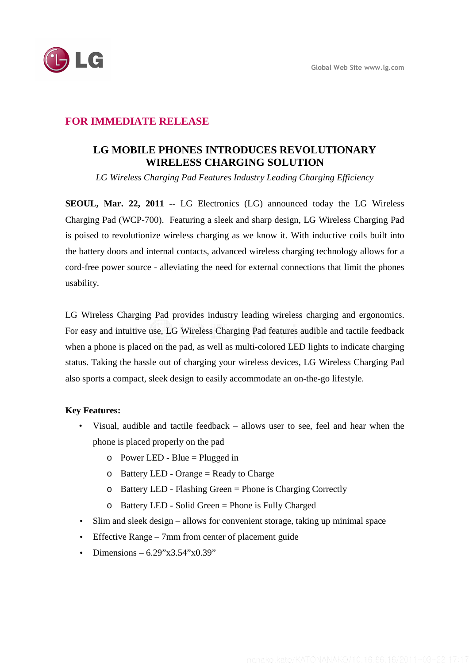

## **FOR IMMEDIATE RELEASE**

# **LG MOBILE PHONES INTRODUCES REVOLUTIONARY WIRELESS CHARGING SOLUTION**

*LG Wireless Charging Pad Features Industry Leading Charging Efficiency* 

**SEOUL, Mar. 22, 2011** -- LG Electronics (LG) announced today the LG Wireless Charging Pad (WCP-700). Featuring a sleek and sharp design, LG Wireless Charging Pad is poised to revolutionize wireless charging as we know it. With inductive coils built into the battery doors and internal contacts, advanced wireless charging technology allows for a cord-free power source - alleviating the need for external connections that limit the phones usability.

LG Wireless Charging Pad provides industry leading wireless charging and ergonomics. For easy and intuitive use, LG Wireless Charging Pad features audible and tactile feedback when a phone is placed on the pad, as well as multi-colored LED lights to indicate charging status. Taking the hassle out of charging your wireless devices, LG Wireless Charging Pad also sports a compact, sleek design to easily accommodate an on-the-go lifestyle.

### **Key Features:**

- Visual, audible and tactile feedback allows user to see, feel and hear when the phone is placed properly on the pad
	- $\circ$  Power LED Blue = Plugged in
	- o Battery LED Orange = Ready to Charge
	- o Battery LED Flashing Green = Phone is Charging Correctly
	- o Battery LED Solid Green = Phone is Fully Charged
- Slim and sleek design allows for convenient storage, taking up minimal space
- Effective Range 7mm from center of placement guide
- Dimensions  $6.29$ "x3.54"x0.39"